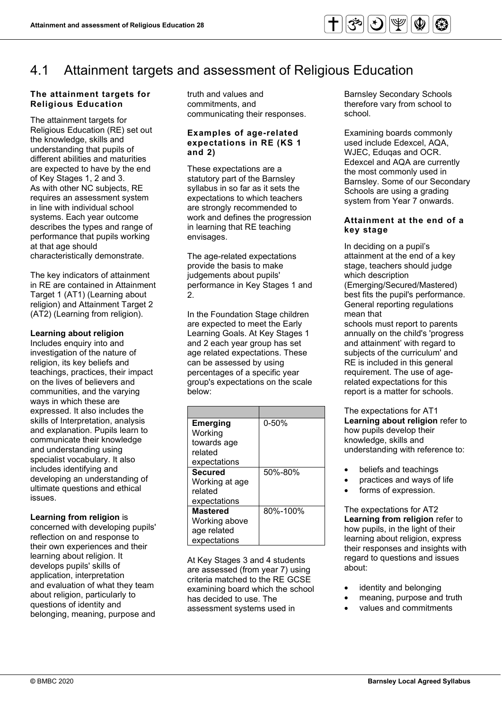

# 4.1 Attainment targets and assessment of Religious Education

### **The attainment targets for Religious Education**

The attainment targets for Religious Education (RE) set out the knowledge, skills and understanding that pupils of different abilities and maturities are expected to have by the end of Key Stages 1, 2 and 3. As with other NC subjects, RE requires an assessment system in line with individual school systems. Each year outcome describes the types and range of performance that pupils working at that age should characteristically demonstrate.

The key indicators of attainment in RE are contained in Attainment Target 1 (AT1) (Learning about religion) and Attainment Target 2 (AT2) (Learning from religion).

# **Learning about religion**

Includes enquiry into and investigation of the nature of religion, its key beliefs and teachings, practices, their impact on the lives of believers and communities, and the varying ways in which these are expressed. It also includes the skills of Interpretation, analysis and explanation. Pupils learn to communicate their knowledge and understanding using specialist vocabulary. It also includes identifying and developing an understanding of ultimate questions and ethical issues.

# **Learning from religion** is

concerned with developing pupils' reflection on and response to their own experiences and their learning about religion. It develops pupils' skills of application, interpretation and evaluation of what they team about religion, particularly to questions of identity and belonging, meaning, purpose and

truth and values and commitments, and communicating their responses.

### **Examples of age-related expectations in RE (KS 1 and 2)**

These expectations are a statutory part of the Barnsley syllabus in so far as it sets the expectations to which teachers are strongly recommended to work and defines the progression in learning that RE teaching envisages.

The age-related expectations provide the basis to make judgements about pupils' performance in Key Stages 1 and 2.

In the Foundation Stage children are expected to meet the Early Learning Goals. At Key Stages 1 and 2 each year group has set age related expectations. These can be assessed by using percentages of a specific year group's expectations on the scale below:

| <b>Emerging</b> | $0 - 50%$ |
|-----------------|-----------|
| Working         |           |
| towards age     |           |
| related         |           |
| expectations    |           |
| <b>Secured</b>  | 50%-80%   |
| Working at age  |           |
| related         |           |
| expectations    |           |
| <b>Mastered</b> | 80%-100%  |
| Working above   |           |
| age related     |           |
| expectations    |           |

At Key Stages 3 and 4 students are assessed (from year 7) using criteria matched to the RE GCSE examining board which the school has decided to use. The assessment systems used in

Barnsley Secondary Schools therefore vary from school to school.

Examining boards commonly used include Edexcel, AQA, WJEC, Eduqas and OCR. Edexcel and AQA are currently the most commonly used in Barnsley. Some of our Secondary Schools are using a grading system from Year 7 onwards.

### **Attainment at the end of a key stage**

In deciding on a pupil's attainment at the end of a key stage, teachers should judge which description (Emerging/Secured/Mastered) best fits the pupil's performance. General reporting regulations mean that schools must report to parents

annually on the child's 'progress and attainment' with regard to subjects of the curriculum' and RE is included in this general requirement. The use of agerelated expectations for this report is a matter for schools.

The expectations for AT1 **Learning about religion** refer to how pupils develop their knowledge, skills and understanding with reference to:

- beliefs and teachings
- practices and ways of life
- forms of expression.

The expectations for AT2 **Learning from religion** refer to how pupils, in the light of their learning about religion, express their responses and insights with regard to questions and issues about:

- identity and belonging
- meaning, purpose and truth
- values and commitments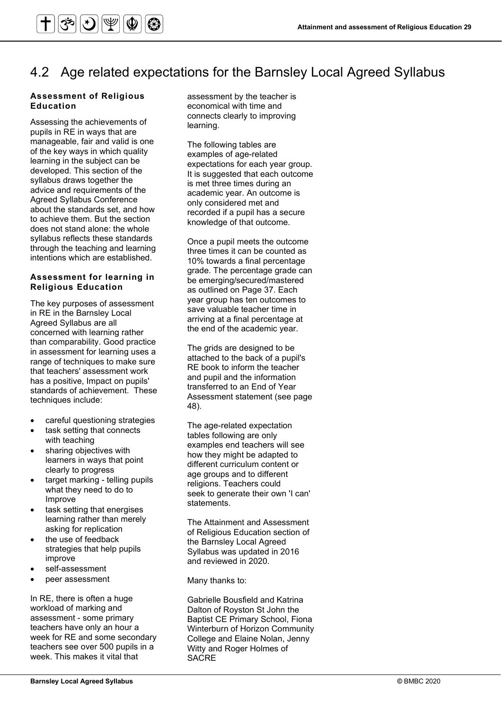

# 4.2 Age related expectations for the Barnsley Local Agreed Syllabus

### **Assessment of Religious Education**

Assessing the achievements of pupils in RE in ways that are manageable, fair and valid is one of the key ways in which quality learning in the subject can be developed. This section of the syllabus draws together the advice and requirements of the Agreed Syllabus Conference about the standards set, and how to achieve them. But the section does not stand alone: the whole syllabus reflects these standards through the teaching and learning intentions which are established.

### **Assessment for learning in Religious Education**

The key purposes of assessment in RE in the Barnsley Local Agreed Syllabus are all concerned with learning rather than comparability. Good practice in assessment for learning uses a range of techniques to make sure that teachers' assessment work has a positive, Impact on pupils' standards of achievement. These techniques include:

- careful questioning strategies
- task setting that connects with teaching
- sharing objectives with learners in ways that point clearly to progress
- target marking telling pupils what they need to do to Improve
- task setting that energises learning rather than merely asking for replication
- the use of feedback strategies that help pupils improve
- self-assessment
- peer assessment

In RE, there is often a huge workload of marking and assessment - some primary teachers have only an hour a week for RE and some secondary teachers see over 500 pupils in a week. This makes it vital that

assessment by the teacher is economical with time and connects clearly to improving learning.

The following tables are examples of age-related expectations for each year group. It is suggested that each outcome is met three times during an academic year. An outcome is only considered met and recorded if a pupil has a secure knowledge of that outcome.

Once a pupil meets the outcome three times it can be counted as 10% towards a final percentage grade. The percentage grade can be emerging/secured/mastered as outlined on Page 37. Each year group has ten outcomes to save valuable teacher time in arriving at a final percentage at the end of the academic year.

The grids are designed to be attached to the back of a pupil's RE book to inform the teacher and pupil and the information transferred to an End of Year Assessment statement (see page 48).

The age-related expectation tables following are only examples end teachers will see how they might be adapted to different curriculum content or age groups and to different religions. Teachers could seek to generate their own 'I can' statements.

The Attainment and Assessment of Religious Education section of the Barnsley Local Agreed Syllabus was updated in 2016 and reviewed in 2020.

Many thanks to:

Gabrielle Bousfield and Katrina Dalton of Royston St John the Baptist CE Primary School, Fiona Winterburn of Horizon Community College and Elaine Nolan, Jenny Witty and Roger Holmes of **SACRE**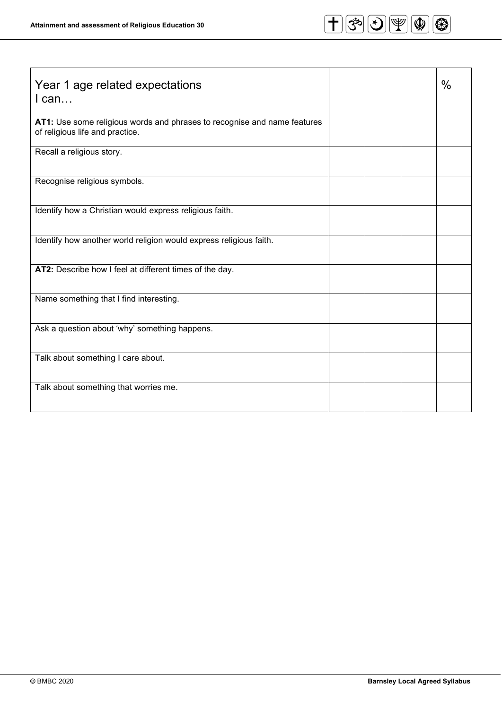$\mathbf{r}$ 



٦

٦

| Year 1 age related expectations<br>I can                                                                    |  | $\frac{0}{0}$ |
|-------------------------------------------------------------------------------------------------------------|--|---------------|
|                                                                                                             |  |               |
| AT1: Use some religious words and phrases to recognise and name features<br>of religious life and practice. |  |               |
| Recall a religious story.                                                                                   |  |               |
| Recognise religious symbols.                                                                                |  |               |
| Identify how a Christian would express religious faith.                                                     |  |               |
| Identify how another world religion would express religious faith.                                          |  |               |
| AT2: Describe how I feel at different times of the day.                                                     |  |               |
| Name something that I find interesting.                                                                     |  |               |
| Ask a question about 'why' something happens.                                                               |  |               |
| Talk about something I care about.                                                                          |  |               |
| Talk about something that worries me.                                                                       |  |               |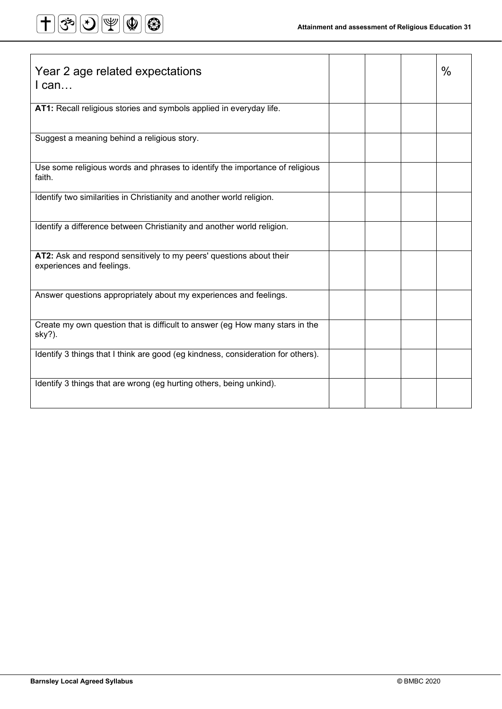| Year 2 age related expectations<br>$l$ can                                                       |  | $\frac{0}{0}$ |
|--------------------------------------------------------------------------------------------------|--|---------------|
|                                                                                                  |  |               |
| AT1: Recall religious stories and symbols applied in everyday life.                              |  |               |
| Suggest a meaning behind a religious story.                                                      |  |               |
| Use some religious words and phrases to identify the importance of religious<br>faith.           |  |               |
| Identify two similarities in Christianity and another world religion.                            |  |               |
| Identify a difference between Christianity and another world religion.                           |  |               |
| AT2: Ask and respond sensitively to my peers' questions about their<br>experiences and feelings. |  |               |
| Answer questions appropriately about my experiences and feelings.                                |  |               |
| Create my own question that is difficult to answer (eg How many stars in the<br>sky?).           |  |               |
| Identify 3 things that I think are good (eg kindness, consideration for others).                 |  |               |
| Identify 3 things that are wrong (eg hurting others, being unkind).                              |  |               |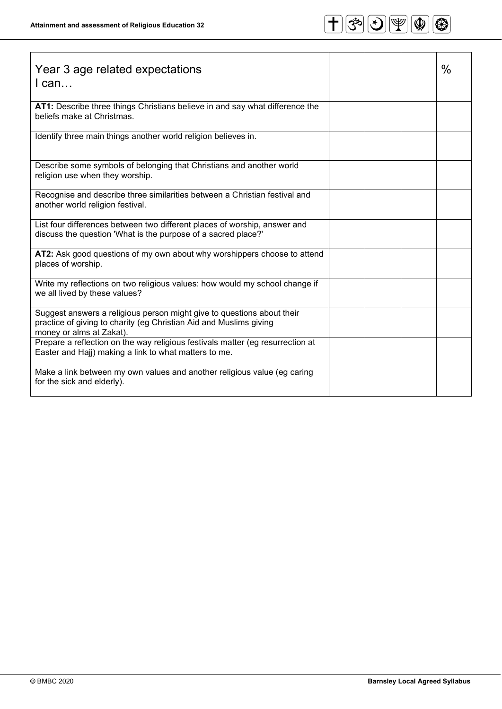

| Year 3 age related expectations<br>$l$ can                                                                                                                               |  | % |
|--------------------------------------------------------------------------------------------------------------------------------------------------------------------------|--|---|
| AT1: Describe three things Christians believe in and say what difference the<br>beliefs make at Christmas.                                                               |  |   |
| Identify three main things another world religion believes in.                                                                                                           |  |   |
| Describe some symbols of belonging that Christians and another world<br>religion use when they worship.                                                                  |  |   |
| Recognise and describe three similarities between a Christian festival and<br>another world religion festival.                                                           |  |   |
| List four differences between two different places of worship, answer and<br>discuss the question 'What is the purpose of a sacred place?'                               |  |   |
| AT2: Ask good questions of my own about why worshippers choose to attend<br>places of worship.                                                                           |  |   |
| Write my reflections on two religious values: how would my school change if<br>we all lived by these values?                                                             |  |   |
| Suggest answers a religious person might give to questions about their<br>practice of giving to charity (eg Christian Aid and Muslims giving<br>money or alms at Zakat). |  |   |
| Prepare a reflection on the way religious festivals matter (eg resurrection at<br>Easter and Hajj) making a link to what matters to me.                                  |  |   |
| Make a link between my own values and another religious value (eg caring<br>for the sick and elderly).                                                                   |  |   |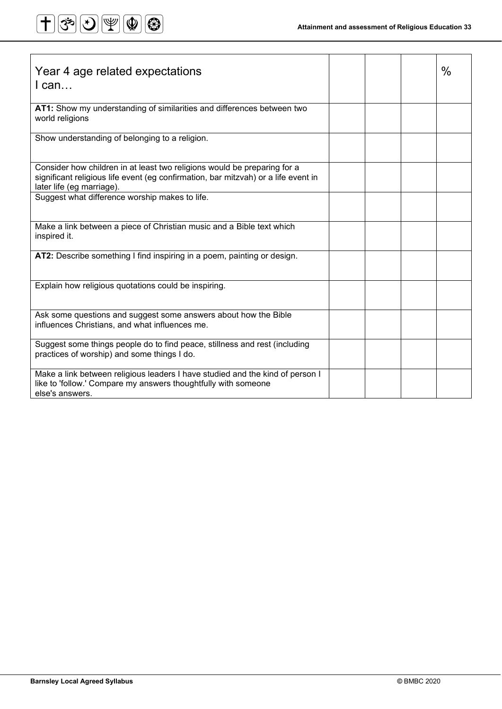| Year 4 age related expectations<br>$l$ can                                                                                                                                                  |  | $\frac{0}{0}$ |
|---------------------------------------------------------------------------------------------------------------------------------------------------------------------------------------------|--|---------------|
| AT1: Show my understanding of similarities and differences between two<br>world religions                                                                                                   |  |               |
| Show understanding of belonging to a religion.                                                                                                                                              |  |               |
| Consider how children in at least two religions would be preparing for a<br>significant religious life event (eg confirmation, bar mitzvah) or a life event in<br>later life (eg marriage). |  |               |
| Suggest what difference worship makes to life.                                                                                                                                              |  |               |
| Make a link between a piece of Christian music and a Bible text which<br>inspired it.                                                                                                       |  |               |
| AT2: Describe something I find inspiring in a poem, painting or design.                                                                                                                     |  |               |
| Explain how religious quotations could be inspiring.                                                                                                                                        |  |               |
| Ask some questions and suggest some answers about how the Bible<br>influences Christians, and what influences me.                                                                           |  |               |
| Suggest some things people do to find peace, stillness and rest (including<br>practices of worship) and some things I do.                                                                   |  |               |
| Make a link between religious leaders I have studied and the kind of person I<br>like to 'follow.' Compare my answers thoughtfully with someone<br>else's answers.                          |  |               |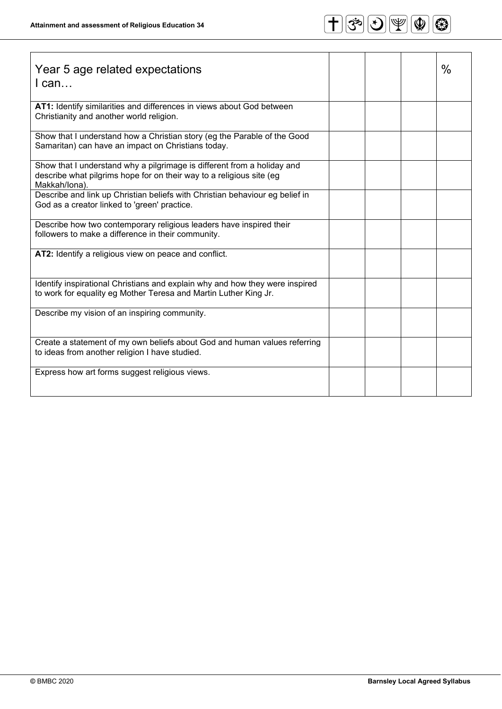

| Year 5 age related expectations<br>$l$ can                                                                                                                       |  | $\%$ |
|------------------------------------------------------------------------------------------------------------------------------------------------------------------|--|------|
| AT1: Identify similarities and differences in views about God between<br>Christianity and another world religion.                                                |  |      |
| Show that I understand how a Christian story (eg the Parable of the Good<br>Samaritan) can have an impact on Christians today.                                   |  |      |
| Show that I understand why a pilgrimage is different from a holiday and<br>describe what pilgrims hope for on their way to a religious site (eg<br>Makkah/lona). |  |      |
| Describe and link up Christian beliefs with Christian behaviour eg belief in<br>God as a creator linked to 'green' practice.                                     |  |      |
| Describe how two contemporary religious leaders have inspired their<br>followers to make a difference in their community.                                        |  |      |
| AT2: Identify a religious view on peace and conflict.                                                                                                            |  |      |
| Identify inspirational Christians and explain why and how they were inspired<br>to work for equality eg Mother Teresa and Martin Luther King Jr.                 |  |      |
| Describe my vision of an inspiring community.                                                                                                                    |  |      |
| Create a statement of my own beliefs about God and human values referring<br>to ideas from another religion I have studied.                                      |  |      |
| Express how art forms suggest religious views.                                                                                                                   |  |      |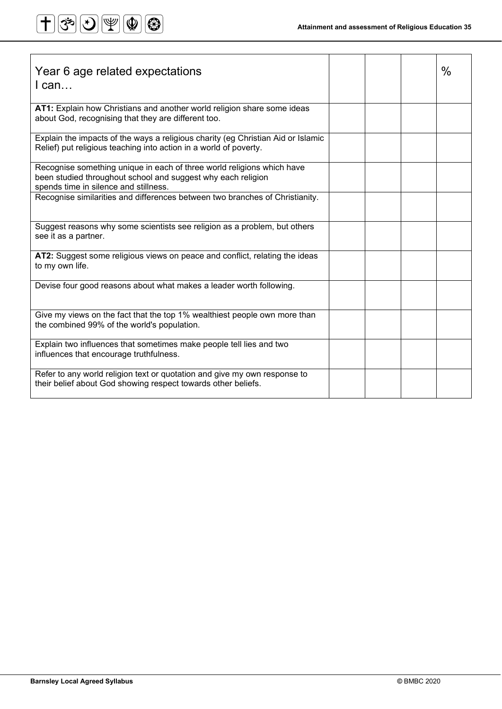| Year 6 age related expectations<br>$l$ can                                                                                                                                      |  | $\%$ |
|---------------------------------------------------------------------------------------------------------------------------------------------------------------------------------|--|------|
| AT1: Explain how Christians and another world religion share some ideas<br>about God, recognising that they are different too.                                                  |  |      |
| Explain the impacts of the ways a religious charity (eg Christian Aid or Islamic<br>Relief) put religious teaching into action in a world of poverty.                           |  |      |
| Recognise something unique in each of three world religions which have<br>been studied throughout school and suggest why each religion<br>spends time in silence and stillness. |  |      |
| Recognise similarities and differences between two branches of Christianity.                                                                                                    |  |      |
| Suggest reasons why some scientists see religion as a problem, but others<br>see it as a partner.                                                                               |  |      |
| AT2: Suggest some religious views on peace and conflict, relating the ideas<br>to my own life.                                                                                  |  |      |
| Devise four good reasons about what makes a leader worth following.                                                                                                             |  |      |
| Give my views on the fact that the top 1% wealthiest people own more than<br>the combined 99% of the world's population.                                                        |  |      |
| Explain two influences that sometimes make people tell lies and two<br>influences that encourage truthfulness.                                                                  |  |      |
| Refer to any world religion text or quotation and give my own response to<br>their belief about God showing respect towards other beliefs.                                      |  |      |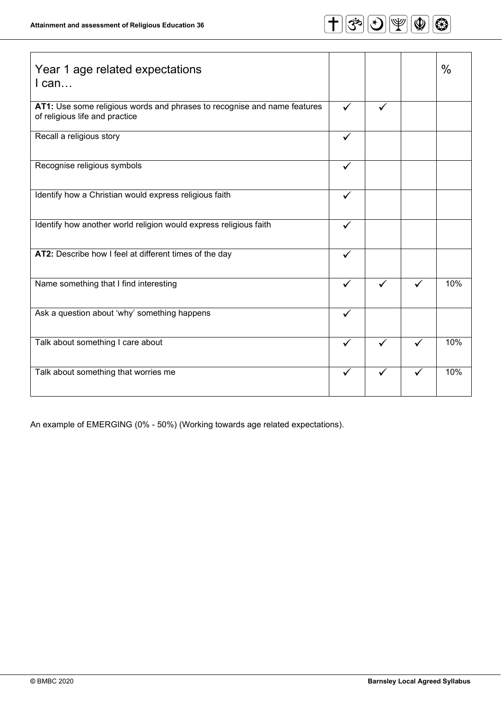j.



| Year 1 age related expectations<br>I can                                                                   |              |  | $\frac{0}{0}$ |
|------------------------------------------------------------------------------------------------------------|--------------|--|---------------|
| AT1: Use some religious words and phrases to recognise and name features<br>of religious life and practice | ✓            |  |               |
| Recall a religious story                                                                                   | ✓            |  |               |
| Recognise religious symbols                                                                                | ✓            |  |               |
| Identify how a Christian would express religious faith                                                     | ✓            |  |               |
| Identify how another world religion would express religious faith                                          |              |  |               |
| AT2: Describe how I feel at different times of the day                                                     | ✓            |  |               |
| Name something that I find interesting                                                                     | $\checkmark$ |  | 10%           |
| Ask a question about 'why' something happens                                                               | $\checkmark$ |  |               |
| Talk about something I care about                                                                          | $\checkmark$ |  | 10%           |
| Talk about something that worries me                                                                       |              |  | 10%           |

An example of EMERGING (0% - 50%) (Working towards age related expectations).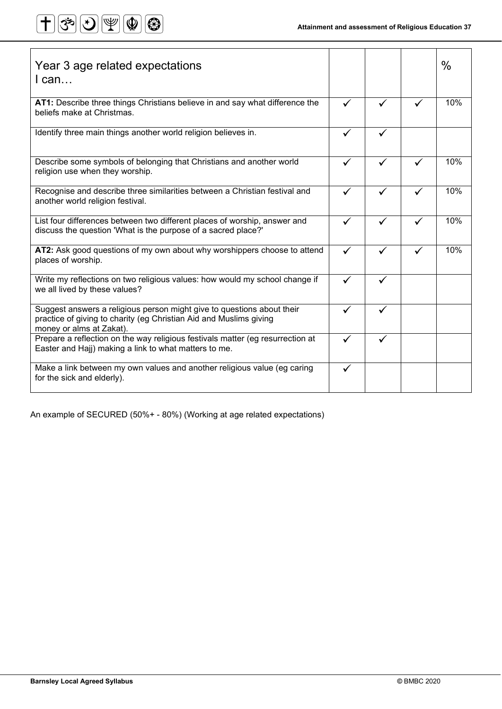| Year 3 age related expectations<br>I can                                                                                                                                 |   |   |   | $\%$ |
|--------------------------------------------------------------------------------------------------------------------------------------------------------------------------|---|---|---|------|
| AT1: Describe three things Christians believe in and say what difference the<br>beliefs make at Christmas.                                                               | ✓ |   |   | 10%  |
| Identify three main things another world religion believes in.                                                                                                           |   |   |   |      |
| Describe some symbols of belonging that Christians and another world<br>religion use when they worship.                                                                  | ✓ | ✓ | ✓ | 10%  |
| Recognise and describe three similarities between a Christian festival and<br>another world religion festival.                                                           |   |   |   | 10%  |
| List four differences between two different places of worship, answer and<br>discuss the question 'What is the purpose of a sacred place?'                               |   |   | ✓ | 10%  |
| AT2: Ask good questions of my own about why worshippers choose to attend<br>places of worship.                                                                           | ✓ |   |   | 10%  |
| Write my reflections on two religious values: how would my school change if<br>we all lived by these values?                                                             | ✓ | ✓ |   |      |
| Suggest answers a religious person might give to questions about their<br>practice of giving to charity (eg Christian Aid and Muslims giving<br>money or alms at Zakat). |   |   |   |      |
| Prepare a reflection on the way religious festivals matter (eg resurrection at<br>Easter and Hajj) making a link to what matters to me.                                  | ✓ |   |   |      |
| Make a link between my own values and another religious value (eg caring<br>for the sick and elderly).                                                                   | ✓ |   |   |      |

An example of SECURED (50%+ - 80%) (Working at age related expectations)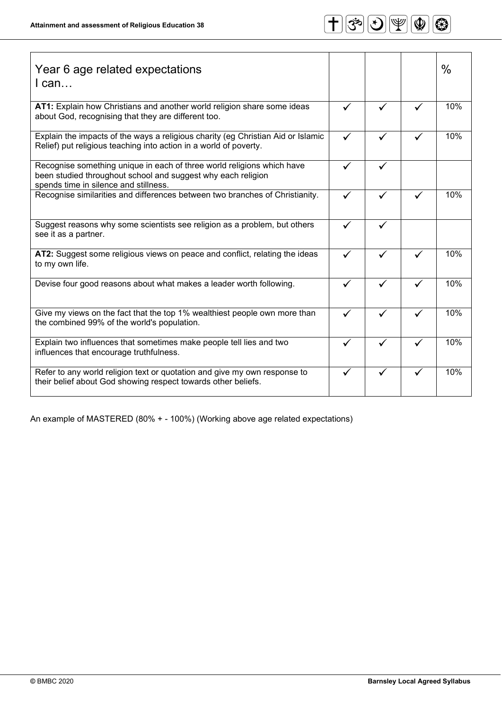$\mathbf{r}$ 



| Year 6 age related expectations<br>$l$ can                                                                                                                                      |              |              |   | $\frac{0}{0}$ |
|---------------------------------------------------------------------------------------------------------------------------------------------------------------------------------|--------------|--------------|---|---------------|
| AT1: Explain how Christians and another world religion share some ideas<br>about God, recognising that they are different too.                                                  |              |              |   | 10%           |
| Explain the impacts of the ways a religious charity (eg Christian Aid or Islamic<br>Relief) put religious teaching into action in a world of poverty.                           | $\checkmark$ |              |   | 10%           |
| Recognise something unique in each of three world religions which have<br>been studied throughout school and suggest why each religion<br>spends time in silence and stillness. | ✓            | ✓            |   |               |
| Recognise similarities and differences between two branches of Christianity.                                                                                                    | ✓            | $\checkmark$ | ✓ | 10%           |
| Suggest reasons why some scientists see religion as a problem, but others<br>see it as a partner.                                                                               | ✓            |              |   |               |
| AT2: Suggest some religious views on peace and conflict, relating the ideas<br>to my own life.                                                                                  | ✓            | ✓            | ✓ | 10%           |
| Devise four good reasons about what makes a leader worth following.                                                                                                             | ✓            |              |   | 10%           |
| Give my views on the fact that the top 1% wealthiest people own more than<br>the combined 99% of the world's population.                                                        | ✓            | ✓            | ✓ | 10%           |
| Explain two influences that sometimes make people tell lies and two<br>influences that encourage truthfulness.                                                                  | ✓            |              |   | 10%           |
| Refer to any world religion text or quotation and give my own response to<br>their belief about God showing respect towards other beliefs.                                      | ✓            | ✓            | ✓ | 10%           |

An example of MASTERED (80% + - 100%) (Working above age related expectations)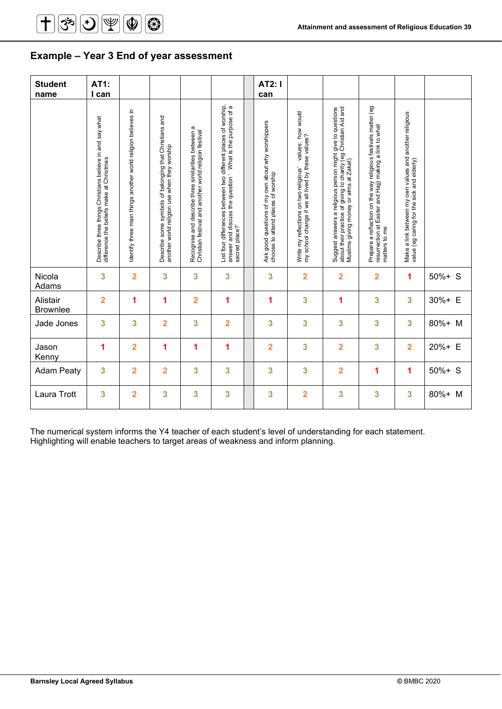

# **Example – Year 3 End of year assessment**

| <b>Student</b><br>name      | <b>AT1:</b><br>I can                                                                                 |                                                              |                                                                                                        |                                                                                                               |                                                                                                                                               | <b>AT2: I</b><br>can                                                                     |                                                                                                                             |                                                                                                                                                                         |                                                                                                                                           |                                                                                                       |           |
|-----------------------------|------------------------------------------------------------------------------------------------------|--------------------------------------------------------------|--------------------------------------------------------------------------------------------------------|---------------------------------------------------------------------------------------------------------------|-----------------------------------------------------------------------------------------------------------------------------------------------|------------------------------------------------------------------------------------------|-----------------------------------------------------------------------------------------------------------------------------|-------------------------------------------------------------------------------------------------------------------------------------------------------------------------|-------------------------------------------------------------------------------------------------------------------------------------------|-------------------------------------------------------------------------------------------------------|-----------|
|                             | Describe three things Christians believe in and say what<br>difference the beliefs make at Christmas | dentify three main things another world religion believes in | Describe some symbols of belonging that Christians and<br>another world religion use when they worship | Recognise and describe three similarities between a<br>Christian festival and another world religion festival | List four differences between two different places of worship,<br>answer and discuss the question 'Mhat is the purpose of a<br>sacred place?' | Ask good questions of my own about why worshippers<br>choose to attend places of worship | values: how would<br>Write my reflections on two religious' values: ho<br>my school change if we all lived by these values? | Suggest answers a religious person might give to questions<br>about their practice of giving to charity (eg Christian Aid and<br>Muslims giving money or alms at Zakat) | Prepare a reflection on the way religious festivals matter (eg<br>resurrection at Easter and Hajj) making a link to what<br>matters to me | Make a link between my own values and another religious<br>value (eg caring for the sick and elderly) |           |
| Nicola<br>Adams             | 3                                                                                                    | $\overline{2}$                                               | 3                                                                                                      | 3                                                                                                             | 3                                                                                                                                             | 3                                                                                        | $\overline{2}$                                                                                                              | $\overline{2}$                                                                                                                                                          | $\overline{2}$                                                                                                                            | 1                                                                                                     | $50% + S$ |
| Alistair<br><b>Brownlee</b> | $\overline{2}$                                                                                       | 1                                                            | 1                                                                                                      | $\overline{2}$                                                                                                | 1                                                                                                                                             | 1                                                                                        | 3                                                                                                                           | 1                                                                                                                                                                       | $\overline{\mathbf{3}}$                                                                                                                   | $\overline{\mathbf{3}}$                                                                               | 30%+ E    |
| Jade Jones                  | 3                                                                                                    | 3                                                            | $\overline{2}$                                                                                         | 3                                                                                                             | $\overline{2}$                                                                                                                                | 3                                                                                        | 3                                                                                                                           | 3                                                                                                                                                                       | 3                                                                                                                                         | $\overline{\mathbf{3}}$                                                                               | 80%+ M    |
| Jason<br>Kenny              | 1                                                                                                    | $\overline{2}$                                               | 1                                                                                                      | 1                                                                                                             | 1                                                                                                                                             | $\overline{2}$                                                                           | 3                                                                                                                           | $\overline{2}$                                                                                                                                                          | $\overline{\mathbf{3}}$                                                                                                                   | $\overline{2}$                                                                                        | 20%+ E    |
| <b>Adam Peaty</b>           | 3                                                                                                    | $\overline{2}$                                               | $\overline{2}$                                                                                         | 3                                                                                                             | 3                                                                                                                                             | 3                                                                                        | 3                                                                                                                           | $\overline{2}$                                                                                                                                                          | 1                                                                                                                                         | 1                                                                                                     | $50% + S$ |
| Laura Trott                 | 3                                                                                                    | $\overline{2}$                                               | 3                                                                                                      | 3                                                                                                             | 3                                                                                                                                             | 3                                                                                        | $\overline{\mathbf{2}}$                                                                                                     | 3                                                                                                                                                                       | 3                                                                                                                                         | 3                                                                                                     | 80%+ M    |

The numerical system informs the Y4 teacher of each student's level of understanding for each statement. Highlighting will enable teachers to target areas of weakness and inform planning.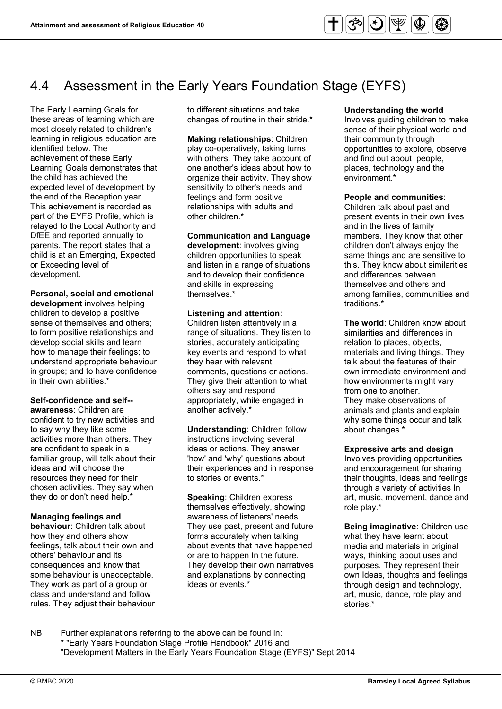

# 4.4 Assessment in the Early Years Foundation Stage (EYFS)

The Early Learning Goals for these areas of learning which are most closely related to children's learning in religious education are identified below. The achievement of these Early Learning Goals demonstrates that the child has achieved the expected level of development by the end of the Reception year. This achievement is recorded as part of the EYFS Profile, which is relayed to the Local Authority and DfEE and reported annually to parents. The report states that a child is at an Emerging, Expected or Exceeding level of development.

**Personal, social and emotional development** involves helping children to develop a positive sense of themselves and others; to form positive relationships and develop social skills and learn how to manage their feelings; to understand appropriate behaviour in groups; and to have confidence in their own abilities.\*

### **Self-confidence and self--**

**awareness**: Children are confident to try new activities and to say why they like some activities more than others. They are confident to speak in a familiar group, will talk about their ideas and will choose the resources they need for their chosen activities. They say when they do or don't need help.\*

#### **Managing feelings and**

**behaviour**: Children talk about how they and others show feelings, talk about their own and others' behaviour and its consequences and know that some behaviour is unacceptable. They work as part of a group or class and understand and follow rules. They adjust their behaviour to different situations and take changes of routine in their stride.\*

**Making relationships**: Children play co-operatively, taking turns with others. They take account of one another's ideas about how to organize their activity. They show sensitivity to other's needs and feelings and form positive relationships with adults and other children.\*

#### **Communication and Language**

**development**: involves giving children opportunities to speak and listen in a range of situations and to develop their confidence and skills in expressing themselves.\*

#### **Listening and attention**:

Children listen attentively in a range of situations. They listen to stories, accurately anticipating key events and respond to what they hear with relevant comments, questions or actions. They give their attention to what others say and respond appropriately, while engaged in another actively.\*

**Understanding**: Children follow instructions involving several ideas or actions. They answer 'how' and 'why' questions about their experiences and in response to stories or events.\*

**Speaking**: Children express themselves effectively, showing awareness of listeners' needs. They use past, present and future forms accurately when talking about events that have happened or are to happen In the future. They develop their own narratives and explanations by connecting ideas or events.\*

#### **Understanding the world**

Involves guiding children to make sense of their physical world and their community through opportunities to explore, observe and find out about people, places, technology and the environment.\*

#### **People and communities**:

Children talk about past and present events in their own lives and in the lives of family members. They know that other children don't always enjoy the same things and are sensitive to this. They know about similarities and differences between themselves and others and among families, communities and traditions.\*

**The world**: Children know about similarities and differences in relation to places, objects, materials and living things. They talk about the features of their own immediate environment and how environments might vary from one to another. They make observations of animals and plants and explain why some things occur and talk about changes.\*

#### **Expressive arts and design**

Involves providing opportunities and encouragement for sharing their thoughts, ideas and feelings through a variety of activities In art, music, movement, dance and role play.\*

**Being imaginative**: Children use what they have learnt about media and materials in original ways, thinking about uses and purposes. They represent their own Ideas, thoughts and feelings through design and technology, art, music, dance, role play and stories.\*

NB Further explanations referring to the above can be found in: \* "Early Years Foundation Stage Profile Handbook" 2016 and "Development Matters in the Early Years Foundation Stage (EYFS)" Sept 2014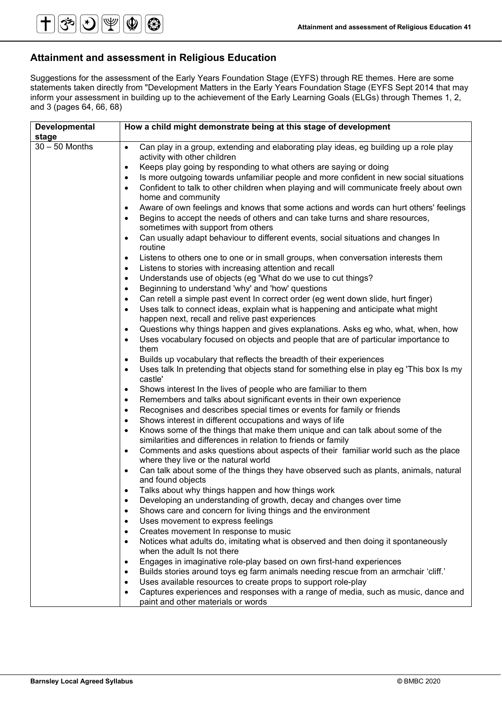

# **Attainment and assessment in Religious Education**

Suggestions for the assessment of the Early Years Foundation Stage (EYFS) through RE themes. Here are some statements taken directly from "Development Matters in the Early Years Foundation Stage (EYFS Sept 2014 that may inform your assessment in building up to the achievement of the Early Learning Goals (ELGs) through Themes 1, 2, and 3 (pages 64, 66, 68)

| <b>Developmental</b> | How a child might demonstrate being at this stage of development                                                                                            |
|----------------------|-------------------------------------------------------------------------------------------------------------------------------------------------------------|
| stage                |                                                                                                                                                             |
| $30 - 50$ Months     | Can play in a group, extending and elaborating play ideas, eg building up a role play<br>$\bullet$<br>activity with other children                          |
|                      | Keeps play going by responding to what others are saying or doing<br>$\bullet$                                                                              |
|                      | Is more outgoing towards unfamiliar people and more confident in new social situations<br>$\bullet$                                                         |
|                      | Confident to talk to other children when playing and will communicate freely about own<br>$\bullet$                                                         |
|                      | home and community                                                                                                                                          |
|                      | Aware of own feelings and knows that some actions and words can hurt others' feelings<br>$\bullet$                                                          |
|                      | Begins to accept the needs of others and can take turns and share resources,<br>$\bullet$<br>sometimes with support from others                             |
|                      | Can usually adapt behaviour to different events, social situations and changes In<br>$\bullet$<br>routine                                                   |
|                      | Listens to others one to one or in small groups, when conversation interests them<br>$\bullet$                                                              |
|                      | Listens to stories with increasing attention and recall<br>$\bullet$                                                                                        |
|                      | Understands use of objects (eg 'What do we use to cut things?<br>$\bullet$                                                                                  |
|                      | Beginning to understand 'why' and 'how' questions<br>$\bullet$                                                                                              |
|                      | Can retell a simple past event In correct order (eg went down slide, hurt finger)<br>$\bullet$                                                              |
|                      | Uses talk to connect ideas, explain what is happening and anticipate what might<br>$\bullet$                                                                |
|                      | happen next, recall and relive past experiences                                                                                                             |
|                      | Questions why things happen and gives explanations. Asks eg who, what, when, how<br>$\bullet$                                                               |
|                      | Uses vocabulary focused on objects and people that are of particular importance to<br>$\bullet$                                                             |
|                      | them                                                                                                                                                        |
|                      | Builds up vocabulary that reflects the breadth of their experiences<br>$\bullet$                                                                            |
|                      | Uses talk In pretending that objects stand for something else in play eg 'This box Is my<br>$\bullet$<br>castle'                                            |
|                      | Shows interest In the lives of people who are familiar to them<br>$\bullet$                                                                                 |
|                      | Remembers and talks about significant events in their own experience<br>$\bullet$                                                                           |
|                      | Recognises and describes special times or events for family or friends<br>$\bullet$                                                                         |
|                      | Shows interest in different occupations and ways of life<br>$\bullet$                                                                                       |
|                      | Knows some of the things that make them unique and can talk about some of the<br>$\bullet$<br>similarities and differences in relation to friends or family |
|                      | Comments and asks questions about aspects of their familiar world such as the place<br>$\bullet$<br>where they live or the natural world                    |
|                      | Can talk about some of the things they have observed such as plants, animals, natural<br>$\bullet$<br>and found objects                                     |
|                      | Talks about why things happen and how things work                                                                                                           |
|                      | Developing an understanding of growth, decay and changes over time<br>$\bullet$                                                                             |
|                      | Shows care and concern for living things and the environment<br>$\bullet$                                                                                   |
|                      | Uses movement to express feelings<br>$\bullet$                                                                                                              |
|                      | Creates movement In response to music<br>$\bullet$                                                                                                          |
|                      | Notices what adults do, imitating what is observed and then doing it spontaneously<br>$\bullet$<br>when the adult Is not there                              |
|                      | Engages in imaginative role-play based on own first-hand experiences<br>$\bullet$                                                                           |
|                      | Builds stories around toys eg farm animals needing rescue from an armchair 'cliff.'<br>$\bullet$                                                            |
|                      | Uses available resources to create props to support role-play<br>$\bullet$                                                                                  |
|                      | Captures experiences and responses with a range of media, such as music, dance and<br>$\bullet$                                                             |
|                      | paint and other materials or words                                                                                                                          |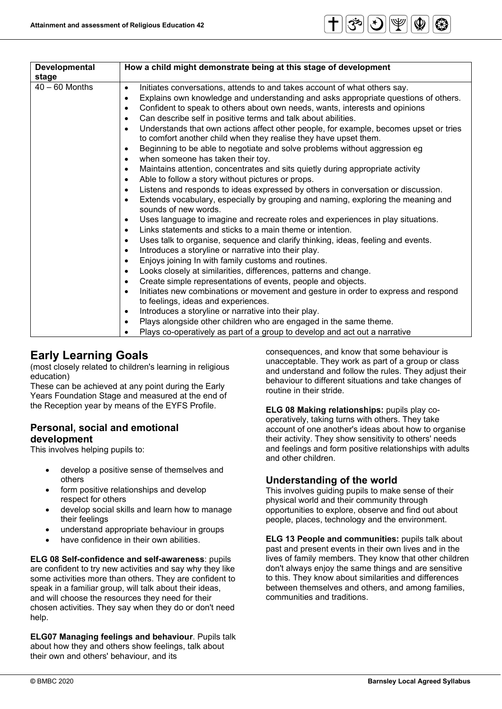

| Developmental    | How a child might demonstrate being at this stage of development                                                                                                                                                                                                                                                                                                                                                                                                                                                                                                                                                                                                                                                                                                                                                                                                                                                                                                                                                                                                                                                                                                                                                                                                                                                                                                                                                                                                                                                                                                                                                                                                                                                                                                                                                                                                                                                                                                         |  |
|------------------|--------------------------------------------------------------------------------------------------------------------------------------------------------------------------------------------------------------------------------------------------------------------------------------------------------------------------------------------------------------------------------------------------------------------------------------------------------------------------------------------------------------------------------------------------------------------------------------------------------------------------------------------------------------------------------------------------------------------------------------------------------------------------------------------------------------------------------------------------------------------------------------------------------------------------------------------------------------------------------------------------------------------------------------------------------------------------------------------------------------------------------------------------------------------------------------------------------------------------------------------------------------------------------------------------------------------------------------------------------------------------------------------------------------------------------------------------------------------------------------------------------------------------------------------------------------------------------------------------------------------------------------------------------------------------------------------------------------------------------------------------------------------------------------------------------------------------------------------------------------------------------------------------------------------------------------------------------------------------|--|
| stage            |                                                                                                                                                                                                                                                                                                                                                                                                                                                                                                                                                                                                                                                                                                                                                                                                                                                                                                                                                                                                                                                                                                                                                                                                                                                                                                                                                                                                                                                                                                                                                                                                                                                                                                                                                                                                                                                                                                                                                                          |  |
| $40 - 60$ Months | Initiates conversations, attends to and takes account of what others say.<br>$\bullet$<br>Explains own knowledge and understanding and asks appropriate questions of others.<br>$\bullet$<br>Confident to speak to others about own needs, wants, interests and opinions<br>$\bullet$<br>Can describe self in positive terms and talk about abilities.<br>$\bullet$<br>Understands that own actions affect other people, for example, becomes upset or tries<br>$\bullet$<br>to comfort another child when they realise they have upset them.<br>Beginning to be able to negotiate and solve problems without aggression eg<br>$\bullet$<br>when someone has taken their toy.<br>$\bullet$<br>Maintains attention, concentrates and sits quietly during appropriate activity<br>$\bullet$<br>Able to follow a story without pictures or props.<br>$\bullet$<br>Listens and responds to ideas expressed by others in conversation or discussion.<br>$\bullet$<br>Extends vocabulary, especially by grouping and naming, exploring the meaning and<br>$\bullet$<br>sounds of new words.<br>Uses language to imagine and recreate roles and experiences in play situations.<br>$\bullet$<br>Links statements and sticks to a main theme or intention.<br>$\bullet$<br>Uses talk to organise, sequence and clarify thinking, ideas, feeling and events.<br>$\bullet$<br>Introduces a storyline or narrative into their play.<br>$\bullet$<br>Enjoys joining In with family customs and routines.<br>$\bullet$<br>Looks closely at similarities, differences, patterns and change.<br>$\bullet$<br>Create simple representations of events, people and objects.<br>$\bullet$<br>Initiates new combinations or movement and gesture in order to express and respond<br>$\bullet$<br>to feelings, ideas and experiences.<br>Introduces a storyline or narrative into their play.<br>$\bullet$<br>Plays alongside other children who are engaged in the same theme.<br>$\bullet$ |  |
|                  | Plays co-operatively as part of a group to develop and act out a narrative<br>$\bullet$                                                                                                                                                                                                                                                                                                                                                                                                                                                                                                                                                                                                                                                                                                                                                                                                                                                                                                                                                                                                                                                                                                                                                                                                                                                                                                                                                                                                                                                                                                                                                                                                                                                                                                                                                                                                                                                                                  |  |

# **Early Learning Goals**

(most closely related to children's learning in religious education)

These can be achieved at any point during the Early Years Foundation Stage and measured at the end of the Reception year by means of the EYFS Profile.

### **Personal, social and emotional development**

This involves helping pupils to:

- develop a positive sense of themselves and others
- form positive relationships and develop respect for others
- develop social skills and learn how to manage their feelings
- understand appropriate behaviour in groups
- have confidence in their own abilities.

**ELG 08 Self-confidence and self-awareness**: pupils are confident to try new activities and say why they like some activities more than others. They are confident to speak in a familiar group, will talk about their ideas, and will choose the resources they need for their chosen activities. They say when they do or don't need help.

**ELG07 Managing feelings and behaviour**. Pupils talk about how they and others show feelings, talk about their own and others' behaviour, and its

consequences, and know that some behaviour is unacceptable. They work as part of a group or class and understand and follow the rules. They adjust their behaviour to different situations and take changes of routine in their stride.

**ELG 08 Making relationships:** pupils play cooperatively, taking turns with others. They take account of one another's ideas about how to organise their activity. They show sensitivity to others' needs and feelings and form positive relationships with adults and other children.

# **Understanding of the world**

This involves guiding pupils to make sense of their physical world and their community through opportunities to explore, observe and find out about people, places, technology and the environment.

**ELG 13 People and communities:** pupils talk about past and present events in their own lives and in the lives of family members. They know that other children don't always enjoy the same things and are sensitive to this. They know about similarities and differences between themselves and others, and among families, communities and traditions.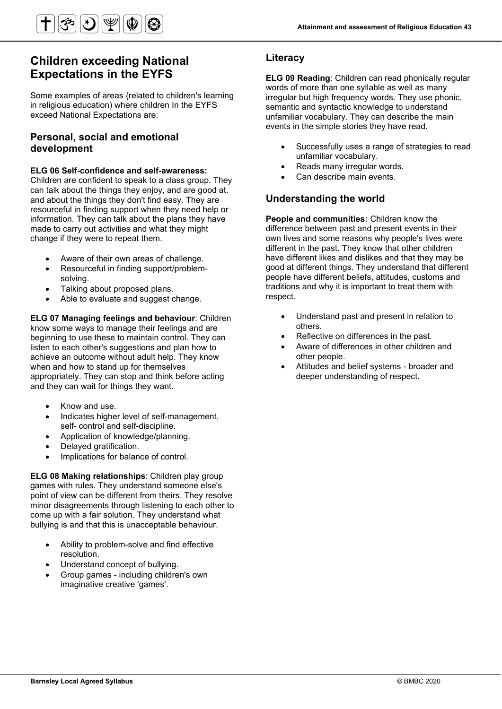

# **Children exceeding National Expectations in the EYFS**

Some examples of areas {related to children's learning in religious education) where children In the EYFS exceed National Expectations are:

### **Personal, social and emotional development**

**ELG 06 Self-confidence and self-awareness:**

Children are confident to speak to a class group. They can talk about the things they enjoy, and are good at. and about the things they don't find easy. They are resourceful in finding support when they need help or information. They can talk about the plans they have made to carry out activities and what they might change if they were to repeat them.

- Aware of their own areas of challenge.
- Resourceful in finding support/problemsolving.
- Talking about proposed plans.
- Able to evaluate and suggest change.

**ELG 07 Managing feelings and behaviour**: Children know some ways to manage their feelings and are beginning to use these to maintain control. They can listen to each other's suggestions and plan how to achieve an outcome without adult help. They know when and how to stand up for themselves appropriately. They can stop and think before acting and they can wait for things they want.

- Know and use.
- Indicates higher level of self-management, self- control and self-discipline.
- Application of knowledge/planning.
- Delayed gratification.
- Implications for balance of control.

**ELG 08 Making relationships**: Children play group games with rules. They understand someone else's point of view can be different from theirs. They resolve minor disagreements through listening to each other to come up with a fair solution. They understand what bullying is and that this is unacceptable behaviour.

- Ability to problem-solve and find effective resolution.
- Understand concept of bullying.
- Group games including children's own imaginative creative 'games'.

### **Literacy**

**ELG 09 Reading**: Children can read phonically regular words of more than one syllable as well as many irregular but high frequency words. They use phonic, semantic and syntactic knowledge to understand unfamiliar vocabulary. They can describe the main events in the simple stories they have read.

- Successfully uses a range of strategies to read unfamiliar vocabulary.
- Reads many irregular words.
- Can describe main events.

# **Understanding the world**

**People and communities:** Children know the difference between past and present events in their own lives and some reasons why people's lives were different in the past. They know that other children have different likes and dislikes and that they may be good at different things. They understand that different people have different beliefs, attitudes, customs and traditions and why it is important to treat them with respect.

- Understand past and present in relation to others.
- Reflective on differences in the past.
- Aware of differences in other children and other people.
- Attitudes and belief systems broader and deeper understanding of respect.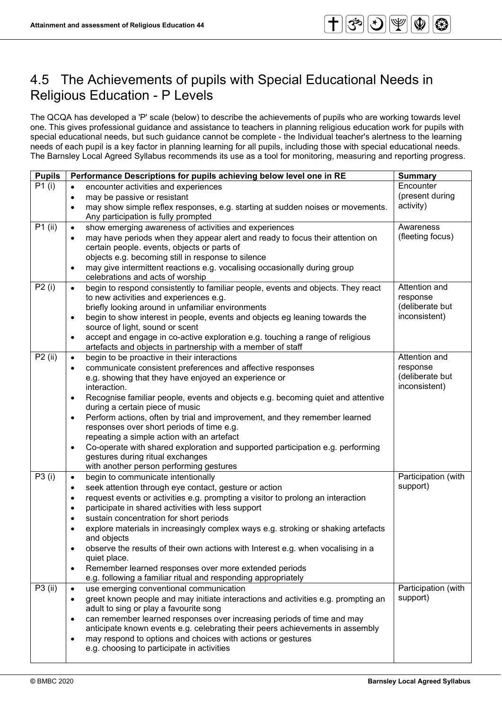

# 4.5 The Achievements of pupils with Special Educational Needs in Religious Education - P Levels

The QCQA has developed a 'P' scale (below) to describe the achievements of pupils who are working towards level one. This gives professional guidance and assistance to teachers in planning religious education work for pupils with special educational needs, but such guidance cannot be complete - the Individual teacher's alertness to the learning needs of each pupil is a key factor in planning learning for all pupils, including those with special educational needs. The Barnsley Local Agreed Syllabus recommends its use as a tool for monitoring, measuring and reporting progress.

| <b>Pupils</b> | Performance Descriptions for pupils achieving below level one in RE                            | <b>Summary</b>      |
|---------------|------------------------------------------------------------------------------------------------|---------------------|
| P1(i)         | encounter activities and experiences                                                           | Encounter           |
|               | may be passive or resistant<br>$\bullet$                                                       | (present during     |
|               | may show simple reflex responses, e.g. starting at sudden noises or movements.<br>$\bullet$    | activity)           |
|               | Any participation is fully prompted                                                            |                     |
| P1 (ii)       | show emerging awareness of activities and experiences<br>$\bullet$                             | Awareness           |
|               | may have periods when they appear alert and ready to focus their attention on<br>$\bullet$     | (fleeting focus)    |
|               | certain people. events, objects or parts of                                                    |                     |
|               | objects e.g. becoming still in response to silence                                             |                     |
|               | may give intermittent reactions e.g. vocalising occasionally during group<br>$\bullet$         |                     |
|               | celebrations and acts of worship                                                               |                     |
| P2 (i)        | begin to respond consistently to familiar people, events and objects. They react               | Attention and       |
|               | to new activities and experiences e.g.                                                         | response            |
|               | briefly looking around in unfamiliar environments                                              | (deliberate but     |
|               | begin to show interest in people, events and objects eg leaning towards the<br>٠               | inconsistent)       |
|               | source of light, sound or scent                                                                |                     |
|               | accept and engage in co-active exploration e.g. touching a range of religious<br>$\bullet$     |                     |
|               | artefacts and objects in partnership with a member of staff                                    |                     |
| P2 (ii)       | begin to be proactive in their interactions<br>$\bullet$                                       | Attention and       |
|               | communicate consistent preferences and affective responses<br>$\bullet$                        | response            |
|               | e.g. showing that they have enjoyed an experience or                                           | (deliberate but     |
|               | interaction.                                                                                   | inconsistent)       |
|               | Recognise familiar people, events and objects e.g. becoming quiet and attentive<br>$\bullet$   |                     |
|               | during a certain piece of music                                                                |                     |
|               | Perform actions, often by trial and improvement, and they remember learned<br>$\bullet$        |                     |
|               | responses over short periods of time e.g.                                                      |                     |
|               | repeating a simple action with an artefact                                                     |                     |
|               | Co-operate with shared exploration and supported participation e.g. performing<br>$\bullet$    |                     |
|               | gestures during ritual exchanges                                                               |                     |
|               | with another person performing gestures                                                        |                     |
| P3 (i)        | begin to communicate intentionally<br>$\bullet$                                                | Participation (with |
|               | seek attention through eye contact, gesture or action<br>$\bullet$                             | support)            |
|               | request events or activities e.g. prompting a visitor to prolong an interaction<br>$\bullet$   |                     |
|               | participate in shared activities with less support<br>$\bullet$                                |                     |
|               | sustain concentration for short periods<br>$\bullet$                                           |                     |
|               | explore materials in increasingly complex ways e.g. stroking or shaking artefacts<br>$\bullet$ |                     |
|               | and objects                                                                                    |                     |
|               | observe the results of their own actions with Interest e.g. when vocalising in a               |                     |
|               | quiet place.                                                                                   |                     |
|               | Remember learned responses over more extended periods<br>$\bullet$                             |                     |
|               | e.g. following a familiar ritual and responding appropriately                                  |                     |
| P3 (ii)       | use emerging conventional communication<br>$\bullet$                                           | Participation (with |
|               | greet known people and may initiate interactions and activities e.g. prompting an<br>$\bullet$ | support)            |
|               | adult to sing or play a favourite song                                                         |                     |
|               | can remember learned responses over increasing periods of time and may<br>$\bullet$            |                     |
|               | anticipate known events e.g. celebrating their peers achievements in assembly                  |                     |
|               | may respond to options and choices with actions or gestures<br>$\bullet$                       |                     |
|               | e.g. choosing to participate in activities                                                     |                     |
|               |                                                                                                |                     |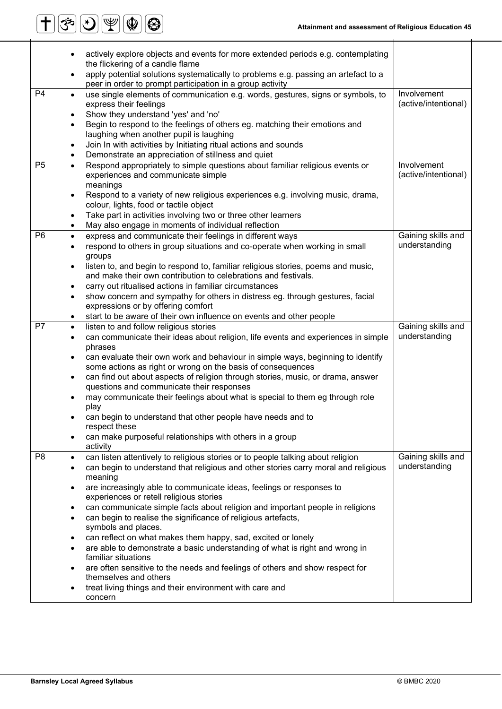|                 | actively explore objects and events for more extended periods e.g. contemplating<br>$\bullet$<br>the flickering of a candle flame                                                                                                                                                                                                                                                                                                                                                                                                                                                                                                                                                                                                                                                                                                                                                                                                      |                                     |
|-----------------|----------------------------------------------------------------------------------------------------------------------------------------------------------------------------------------------------------------------------------------------------------------------------------------------------------------------------------------------------------------------------------------------------------------------------------------------------------------------------------------------------------------------------------------------------------------------------------------------------------------------------------------------------------------------------------------------------------------------------------------------------------------------------------------------------------------------------------------------------------------------------------------------------------------------------------------|-------------------------------------|
|                 | apply potential solutions systematically to problems e.g. passing an artefact to a<br>$\bullet$<br>peer in order to prompt participation in a group activity                                                                                                                                                                                                                                                                                                                                                                                                                                                                                                                                                                                                                                                                                                                                                                           |                                     |
| $\overline{P4}$ | use single elements of communication e.g. words, gestures, signs or symbols, to<br>$\bullet$<br>express their feelings<br>Show they understand 'yes' and 'no'<br>$\bullet$<br>Begin to respond to the feelings of others eg. matching their emotions and<br>$\bullet$<br>laughing when another pupil is laughing<br>Join In with activities by Initiating ritual actions and sounds<br>$\bullet$<br>Demonstrate an appreciation of stillness and quiet                                                                                                                                                                                                                                                                                                                                                                                                                                                                                 | Involvement<br>(active/intentional) |
| $\overline{P5}$ | Respond appropriately to simple questions about familiar religious events or<br>$\bullet$<br>experiences and communicate simple<br>meanings<br>Respond to a variety of new religious experiences e.g. involving music, drama,<br>$\bullet$<br>colour, lights, food or tactile object<br>Take part in activities involving two or three other learners<br>$\bullet$<br>May also engage in moments of individual reflection<br>٠                                                                                                                                                                                                                                                                                                                                                                                                                                                                                                         | Involvement<br>(active/intentional) |
| P <sub>6</sub>  | express and communicate their feelings in different ways<br>$\bullet$<br>respond to others in group situations and co-operate when working in small<br>٠<br>groups<br>listen to, and begin to respond to, familiar religious stories, poems and music,<br>$\bullet$<br>and make their own contribution to celebrations and festivals.<br>carry out ritualised actions in familiar circumstances<br>$\bullet$<br>show concern and sympathy for others in distress eg. through gestures, facial<br>٠<br>expressions or by offering comfort<br>start to be aware of their own influence on events and other people<br>٠                                                                                                                                                                                                                                                                                                                   | Gaining skills and<br>understanding |
| $\overline{P7}$ | listen to and follow religious stories<br>$\bullet$<br>can communicate their ideas about religion, life events and experiences in simple<br>٠<br>phrases<br>can evaluate their own work and behaviour in simple ways, beginning to identify<br>$\bullet$<br>some actions as right or wrong on the basis of consequences<br>can find out about aspects of religion through stories, music, or drama, answer<br>$\bullet$<br>questions and communicate their responses<br>may communicate their feelings about what is special to them eg through role<br>٠<br>play<br>can begin to understand that other people have needs and to<br>respect these<br>can make purposeful relationships with others in a group<br>$\bullet$<br>activity                                                                                                                                                                                                 | Gaining skills and<br>understanding |
| P8              | can listen attentively to religious stories or to people talking about religion<br>$\bullet$<br>can begin to understand that religious and other stories carry moral and religious<br>٠<br>meaning<br>are increasingly able to communicate ideas, feelings or responses to<br>٠<br>experiences or retell religious stories<br>can communicate simple facts about religion and important people in religions<br>$\bullet$<br>can begin to realise the significance of religious artefacts,<br>$\bullet$<br>symbols and places.<br>can reflect on what makes them happy, sad, excited or lonely<br>$\bullet$<br>are able to demonstrate a basic understanding of what is right and wrong in<br>$\bullet$<br>familiar situations<br>are often sensitive to the needs and feelings of others and show respect for<br>$\bullet$<br>themselves and others<br>treat living things and their environment with care and<br>$\bullet$<br>concern | Gaining skills and<br>understanding |

 $\overline{\texttt{f}}$ 

ઙૻૺ૰

 $\mathcal{F}_{\mathcal{A}}$ 

 $\circledast$ 

 $\left( \bigcirc$ 

 $|\Psi\>$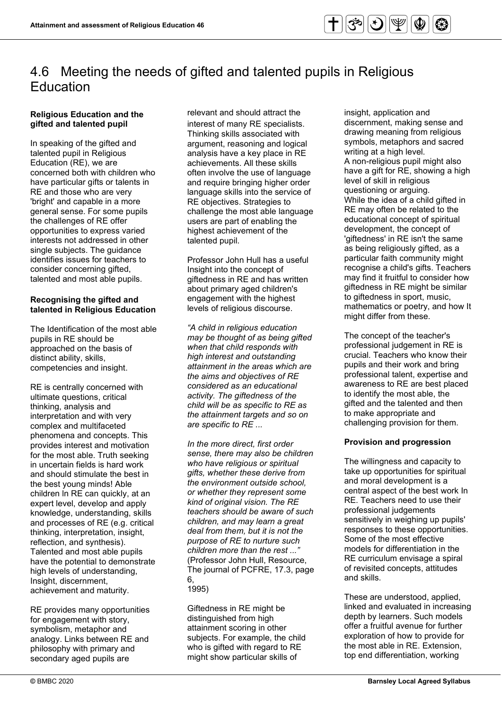# 4.6 Meeting the needs of gifted and talented pupils in Religious Education

# **Religious Education and the gifted and talented pupil**

In speaking of the gifted and talented pupil in Religious Education (RE), we are concerned both with children who have particular gifts or talents in RE and those who are very 'bright' and capable in a more general sense. For some pupils the challenges of RE offer opportunities to express varied interests not addressed in other single subjects. The guidance identifies issues for teachers to consider concerning gifted, talented and most able pupils.

### **Recognising the gifted and talented in Religious Education**

The Identification of the most able pupils in RE should be approached on the basis of distinct ability, skills, competencies and insight.

RE is centrally concerned with ultimate questions, critical thinking, analysis and interpretation and with very complex and multifaceted phenomena and concepts. This provides interest and motivation for the most able. Truth seeking in uncertain fields is hard work and should stimulate the best in the best young minds! Able children ln RE can quickly, at an expert level, develop and apply knowledge, understanding, skills and processes of RE (e.g. critical thinking, interpretation, insight, reflection, and synthesis). Talented and most able pupils have the potential to demonstrate high levels of understanding, Insight, discernment, achievement and maturity.

RE provides many opportunities for engagement with story, symbolism, metaphor and analogy. Links between RE and philosophy with primary and secondary aged pupils are

relevant and should attract the interest of many RE specialists. Thinking skills associated with argument, reasoning and logical analysis have a key place in RE achievements. All these skills often involve the use of language and require bringing higher order language skills into the service of RE objectives. Strategies to challenge the most able language users are part of enabling the highest achievement of the talented pupil.

Professor John Hull has a useful Insight into the concept of giftedness in RE and has written about primary aged children's engagement with the highest levels of religious discourse.

*"A child in religious education may be thought of as being gifted when that child responds with high interest and outstanding attainment in the areas which are the aims and objectives of RE considered as an educational activity. The giftedness of the child will be as specific to RE as the attainment targets and so on are specific to RE ...*

*In the more direct, first order sense, there may also be children who have religious or spiritual gifts, whether these derive from the environment outside school, or whether they represent some kind of original vision. The RE teachers should be aware of such children, and may learn a great deal from them, but it is not the purpose of RE to nurture such children more than the rest ..."* (Professor John Hull, Resource, The journal of PCFRE, 17.3, page 6,

### 1995)

Giftedness in RE might be distinguished from high attainment scoring in other subjects. For example, the child who is gifted with regard to RE might show particular skills of

insight, application and discernment, making sense and drawing meaning from religious symbols, metaphors and sacred writing at a high level. A non-religious pupil might also have a gift for RE, showing a high level of skill in religious questioning or arguing. While the idea of a child gifted in RE may often be related to the educational concept of spiritual development, the concept of 'giftedness' in RE isn't the same as being religiously gifted, as a particular faith community might recognise a child's gifts. Teachers may find it fruitful to consider how giftedness in RE might be similar to giftedness in sport, music, mathematics or poetry, and how It might differ from these.

The concept of the teacher's professional judgement in RE is crucial. Teachers who know their pupils and their work and bring professional talent, expertise and awareness to RE are best placed to identify the most able, the gifted and the talented and then to make appropriate and challenging provision for them.

### **Provision and progression**

The willingness and capacity to take up opportunities for spiritual and moral development is a central aspect of the best work In RE. Teachers need to use their professional judgements sensitively in weighing up pupils' responses to these opportunities. Some of the most effective models for differentiation in the RE curriculum envisage a spiral of revisited concepts, attitudes and skills.

These are understood, applied, linked and evaluated in increasing depth by learners. Such models offer a fruitful avenue for further exploration of how to provide for the most able in RE. Extension, top end differentiation, working